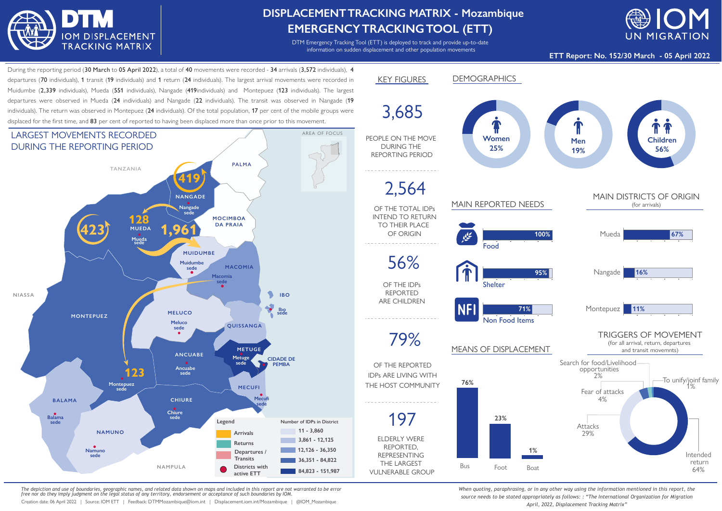

## **DISPLACEMENTTRACKING MATRIX - Mozambique EMERGENCYTRACKINGTOOL (ETT)**

DTM Emergency Tracking Tool (ETT) is deployed to track and provide up-to-date information on sudden displacement and other population movements



**ETT Report: No. 152/30 March - 05 April 2022**

During the reporting period (30 March to 05 April 2022), a total of 40 movements were recorded - 34 arrivals (3,572 individuals). 4 departures (70 individuals), 1 transit (19 individuals) and 1 return (24 individuals). The largest arrival movements were recorded in Muidumbe (2,339 individuals), Mueda (551 individuals), Nangade (419individuals) and Montepuez (123 individuals). The largest departures were observed in Mueda (24 individuals) and Nangade (22 individuals). The transit was observed in Nangade (19 individuals). The return was observed in Montepuez (24 individuals). Of the total population, 17 per cent of the mobile groups were displaced for the first time, and 83 per cent of reported to having been displaced more than once prior to this movement.



*The depiction and use of boundaries, geographic names, and related data shown on maps and included in this report are not warranted to be error free nor do they imply judgment on the legal status of any territory, endorsement or acceptance of such boundaries by IOM.*

Creation date: 06 April 2022 | Source: IOM ETT | Feedback: DTMMozambique@iom.int | Displacement.iom.int/Mozambique | @IOM\_Mozambique



*When quoting, paraphrasing, or in any other way using the information mentioned in this report, the source needs to be stated appropriately as follows: : "The International Organization for Migration April, 2022, Displacement Tracking Matrix"*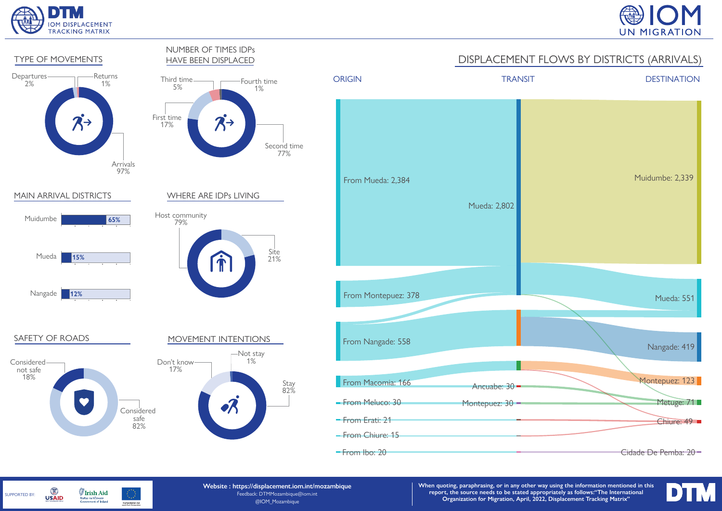

SUPPORTED BY:

G

**USAID** 

**Irish Aid** 

Rialtas na hÉireann<br>Government of Ireland

Humanitarian Aid<br>and Civil Protection





**Website : https://displacement.iom.int/mozambique** Feedback: DTMMozambique@iom.int @IOM\_Mozambique

**When quoting, paraphrasing, or in any other way using the information mentioned in this report, the source needs to be stated appropriately as follows:"The International Organization for Migration, April, 2022, Displacement Tracking Matrix"**